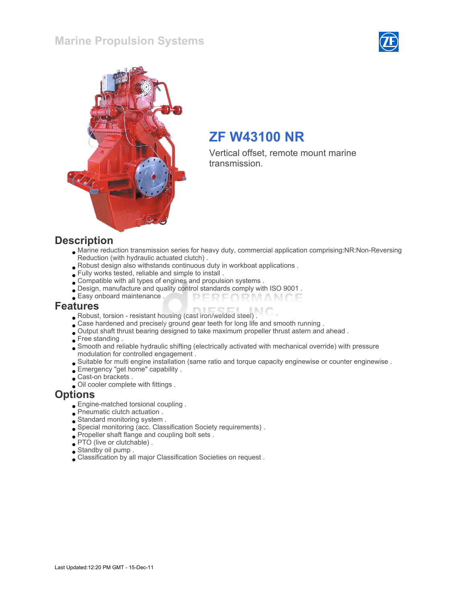# Marine Propulsion Systems





# ZF W43100 NR

Vertical offset, remote mount marine transmission.

#### **Description**

- Marine reduction transmission series for heavy duty, commercial application comprising:NR:Non-Reversing Reduction (with hydraulic actuated clutch) .
- Robust design also withstands continuous duty in workboat applications .
- Fully works tested, reliable and simple to install .
- Compatible with all types of engines and propulsion systems .
- Design, manufacture and quality control standards comply with ISO 9001 .
- Easy onboard maintenance . PERFORMANCE

#### Features

- Robust, torsion resistant housing (cast iron/welded steel) .
- Case hardened and precisely ground gear teeth for long life and smooth running .
- Output shaft thrust bearing designed to take maximum propeller thrust astern and ahead .
- Free standing.
- Smooth and reliable hydraulic shifting (electrically activated with mechanical override) with pressure modulation for controlled engagement .
- Suitable for multi engine installation (same ratio and torque capacity enginewise or counter enginewise .
- Emergency "get home" capability .
- Cast-on brackets .
- Oil cooler complete with fittings .

#### **Options**

- Engine-matched torsional coupling .
- Pneumatic clutch actuation .
- Standard monitoring system .
- Special monitoring (acc. Classification Society requirements) .
- Propeller shaft flange and coupling bolt sets .
- PTO (live or clutchable).
- Standby oil pump .
- Classification by all major Classification Societies on request .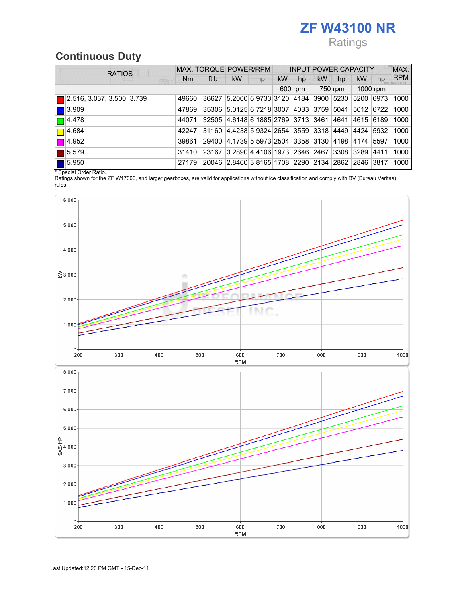# ZF W43100 NR

# Ratings

# Continuous Duty

| <b>RATIOS</b>                              |       | MAX. TORQUE POWER/RPM                             |                                                  |    | <b>INPUT POWER CAPACITY</b> |                  |           |         |           |          | MAX.       |
|--------------------------------------------|-------|---------------------------------------------------|--------------------------------------------------|----|-----------------------------|------------------|-----------|---------|-----------|----------|------------|
| <b>TEM</b>                                 | Nm    | ftlb                                              | kW                                               | hp | <b>kW</b>                   | hp               | <b>kW</b> | hp      | kW        | hp       | <b>RPM</b> |
|                                            |       |                                                   |                                                  |    |                             | 600 rpm          |           | 750 rpm |           | 1000 rpm |            |
| $\blacksquare$  2.516, 3.037, 3.500, 3.739 | 49660 | 36627                                             | 5.2000 6.9733 3120  4184  3900  5230  5200       |    |                             |                  |           |         |           | 6973     | 1000       |
| 3.909                                      | 47869 |                                                   | 35306 5.0125 6.7218 3007                         |    |                             | 4033  3759  5041 |           |         | 5012 6722 |          | 1000       |
| $\blacksquare$ 4.478                       | 44071 | 32505 4.6148 6.1885 2769 3713 3461                |                                                  |    |                             |                  |           | 4641    | 4615      | 6189     | 1000       |
| $\blacksquare$ 4.684                       | 42247 | 31160                                             | 4.4238 5.9324 2654  3559  3318  4449  4424  5932 |    |                             |                  |           |         |           |          | 1000       |
| 4.952                                      | 39861 | 29400                                             | 4.1739 5.5973 2504  3358  3130  4198  4174       |    |                             |                  |           |         |           | 5597     | 1000       |
| 15.579                                     | 31410 | 23167                                             | 3.2890 4.4106 1973 2646 2467 3308 3289           |    |                             |                  |           |         |           | 4411     | 1000       |
| 5.950                                      | 27179 | 20046 2.8460 3.8165 1708 2290 2134 2862 2846 3817 |                                                  |    |                             |                  |           |         |           |          | 1000       |

\* Special Order Ratio.

Ratings shown for the ZF W17000, and larger gearboxes, are valid for applications without ice classification and comply with BV (Bureau Veritas) rules.

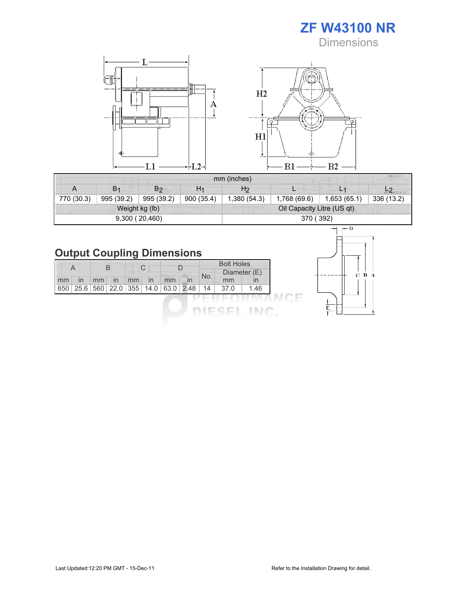ZF W43100 NR **Dimensions** 



|            |                |                |                | mm (inches)    |                            |                | <b>MIUXT</b> |
|------------|----------------|----------------|----------------|----------------|----------------------------|----------------|--------------|
| A          | B <sub>1</sub> | B <sub>2</sub> | H <sub>1</sub> | H <sub>2</sub> |                            | L <sub>1</sub> |              |
| 770 (30.3) | 995 (39.2)     | 995 (39.2)     | 900(35.4)      | 1,380 (54.3)   | 1,768 (69.6)               | 1,653(65.1)    | 336 (13.2)   |
|            |                | Weight kg (lb) |                |                | Oil Capacity Litre (US qt) |                |              |
|            |                | 9,300(20,460)  |                |                | 370 (392)                  |                |              |

# Output Coupling Dimensions

|                                                                                     | Diameter (E) |
|-------------------------------------------------------------------------------------|--------------|
| No.<br>In<br>mm<br>In<br>mm<br>In<br>mm<br>mm<br>$\mathsf{I}$<br>mm<br>$\mathsf{I}$ |              |
| 650 25.6 560 22.0 355 14.0 63.0 2.48<br>1.46<br>37.0<br>14                          |              |

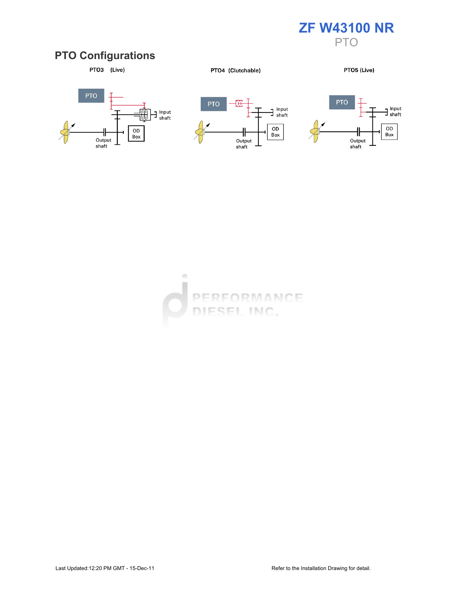

## PTO Configurations



PTO4 (Clutchable)

PTO5 (Live)